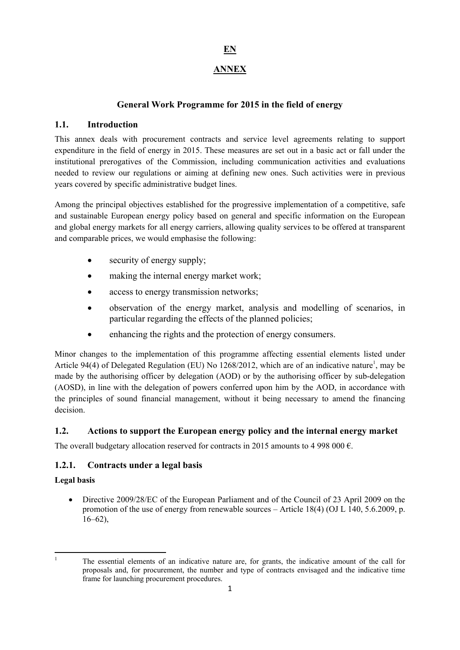# **EN**

# **ANNEX**

# **General Work Programme for 2015 in the field of energy**

# **1.1. Introduction**

This annex deals with procurement contracts and service level agreements relating to support expenditure in the field of energy in 2015. These measures are set out in a basic act or fall under the institutional prerogatives of the Commission, including communication activities and evaluations needed to review our regulations or aiming at defining new ones. Such activities were in previous years covered by specific administrative budget lines.

Among the principal objectives established for the progressive implementation of a competitive, safe and sustainable European energy policy based on general and specific information on the European and global energy markets for all energy carriers, allowing quality services to be offered at transparent and comparable prices, we would emphasise the following:

- security of energy supply:
- making the internal energy market work;
- access to energy transmission networks;
- observation of the energy market, analysis and modelling of scenarios, in particular regarding the effects of the planned policies;
- enhancing the rights and the protection of energy consumers.

Minor changes to the implementation of this programme affecting essential elements listed under Article 94(4) of Delegated Regulation (EU) No 1268/2012, which are of an indicative nature<sup>1</sup>, may be made by the authorising officer by delegation (AOD) or by the authorising officer by sub-delegation (AOSD), in line with the delegation of powers conferred upon him by the AOD, in accordance with the principles of sound financial management, without it being necessary to amend the financing decision.

## **1.2. Actions to support the European energy policy and the internal energy market**

The overall budgetary allocation reserved for contracts in 2015 amounts to 4 998 000  $\epsilon$ .

## **1.2.1. Contracts under a legal basis**

## **Legal basis**

• Directive 2009/28/EC of the European Parliament and of the Council of 23 April 2009 on the promotion of the use of energy from renewable sources – Article 18(4) (OJ L 140, 5.6.2009, p.  $16-62$ ),

 $\frac{1}{1}$ 

The essential elements of an indicative nature are, for grants, the indicative amount of the call for proposals and, for procurement, the number and type of contracts envisaged and the indicative time frame for launching procurement procedures.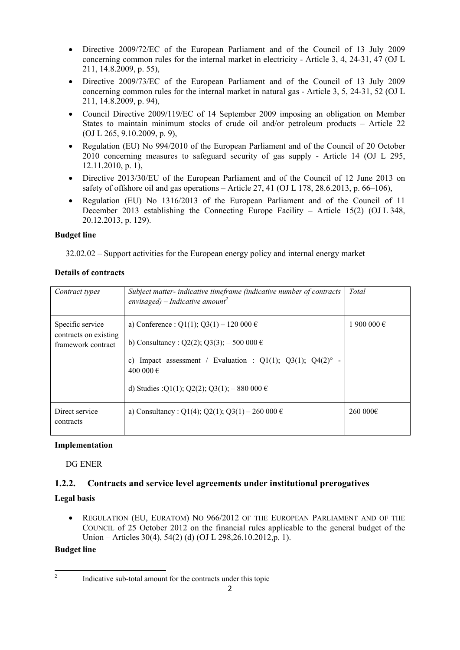- Directive 2009/72/EC of the European Parliament and of the Council of 13 July 2009 concerning common rules for the internal market in electricity - Article 3, 4, 24-31, 47 (OJ L 211, 14.8.2009, p. 55),
- Directive 2009/73/EC of the European Parliament and of the Council of 13 July 2009 concerning common rules for the internal market in natural gas - Article 3, 5, 24-31, 52 (OJ L 211, 14.8.2009, p. 94),
- Council Directive 2009/119/EC of 14 September 2009 imposing an obligation on Member States to maintain minimum stocks of crude oil and/or petroleum products – Article 22 (OJ L 265, 9.10.2009, p. 9),
- Regulation (EU) No 994/2010 of the European Parliament and of the Council of 20 October 2010 concerning measures to safeguard security of gas supply - Article 14 (OJ L 295, 12.11.2010, p. 1),
- Directive 2013/30/EU of the European Parliament and of the Council of 12 June 2013 on safety of offshore oil and gas operations – Article 27, 41 (OJ L 178, 28.6.2013, p. 66–106),
- Regulation (EU) No 1316/2013 of the European Parliament and of the Council of 11 December 2013 establishing the Connecting Europe Facility – Article 15(2) (OJ L 348, 20.12.2013, p. 129).

#### **Budget line**

32.02.02 – Support activities for the European energy policy and internal energy market

#### **Details of contracts**

| Contract types                                                  | Subject matter-indicative timeframe (indicative number of contracts<br>envisaged) – Indicative amount <sup>2</sup> | Total       |
|-----------------------------------------------------------------|--------------------------------------------------------------------------------------------------------------------|-------------|
| Specific service<br>contracts on existing<br>framework contract | a) Conference : Q1(1); Q3(1) – 120 000 $\epsilon$<br>b) Consultancy: $Q2(2)$ ; $Q3(3)$ ; $-500000 \in$             | 1 900 000 € |
|                                                                 | Impact assessment / Evaluation : $Q1(1)$ ; $Q3(1)$ ; $Q4(2)$ ° -<br>C)<br>400 000 €                                |             |
|                                                                 | d) Studies : $Q1(1)$ ; $Q2(2)$ ; $Q3(1)$ ; $-880\,000 \in$                                                         |             |
| Direct service<br>contracts                                     | a) Consultancy: Q1(4); Q2(1); Q3(1) – 260 000 $\epsilon$                                                           | 260000€     |

#### **Implementation**

DG ENER

## **1.2.2. Contracts and service level agreements under institutional prerogatives**

## **Legal basis**

• REGULATION (EU, EURATOM) NO 966/2012 OF THE EUROPEAN PARLIAMENT AND OF THE COUNCIL of 25 October 2012 on the financial rules applicable to the general budget of the Union – Articles 30(4), 54(2) (d) (OJ L 298, 26, 10, 2012, p. 1).

## **Budget line**

 $\frac{1}{2}$ 

Indicative sub-total amount for the contracts under this topic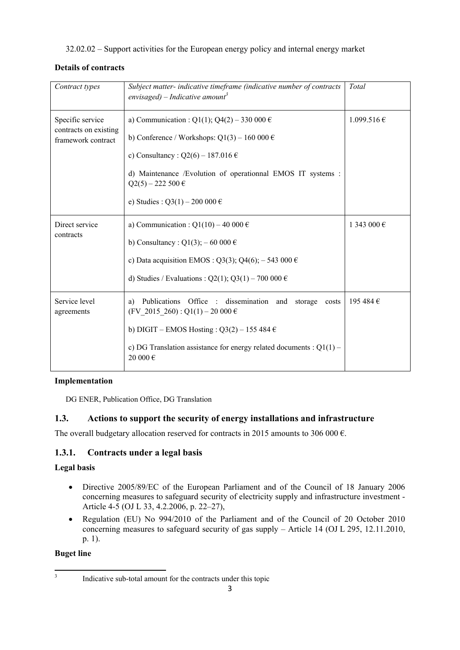32.02.02 – Support activities for the European energy policy and internal energy market

### **Details of contracts**

| Contract types                                                  | Subject matter- indicative timeframe (indicative number of contracts<br>envisaged) – Indicative amount <sup>3</sup>                                                                                                                                              | Total           |
|-----------------------------------------------------------------|------------------------------------------------------------------------------------------------------------------------------------------------------------------------------------------------------------------------------------------------------------------|-----------------|
| Specific service<br>contracts on existing<br>framework contract | a) Communication : Q1(1); Q4(2) - 330 000 €<br>b) Conference / Workshops: $Q1(3) - 160000 \in$<br>c) Consultancy: $Q2(6) - 187.016 \in$<br>d) Maintenance /Evolution of operationnal EMOS IT systems :<br>$Q2(5) - 222500 \in$<br>e) Studies : Q3(1) – 200 000 € | $1.099.516 \in$ |
| Direct service<br>contracts                                     | a) Communication : Q1(10) – 40 000 $\epsilon$<br>b) Consultancy: $Q1(3)$ ; – 60 000 €<br>c) Data acquisition EMOS : Q3(3); Q4(6); $-543000 \in$<br>d) Studies / Evaluations : Q2(1); Q3(1) – 700 000 $\epsilon$                                                  | 1 343 000 €     |
| Service level<br>agreements                                     | Publications Office : dissemination and<br>storage<br>a)<br>costs<br>$(FV_2015_260)$ : Q1(1) − 20 000 €<br>b) DIGIT – EMOS Hosting : $Q3(2)$ – 155 484 $\in$<br>c) DG Translation assistance for energy related documents : $Q1(1)$ –<br>20 000 $\in$            | 195 484 €       |

## **Implementation**

DG ENER, Publication Office, DG Translation

# **1.3. Actions to support the security of energy installations and infrastructure**

The overall budgetary allocation reserved for contracts in 2015 amounts to 306 000  $\epsilon$ .

# **1.3.1. Contracts under a legal basis**

## **Legal basis**

- Directive 2005/89/EC of the European Parliament and of the Council of 18 January 2006 concerning measures to safeguard security of electricity supply and infrastructure investment - Article 4-5 (OJ L 33, 4.2.2006, p. 22–27),
- Regulation (EU) No 994/2010 of the Parliament and of the Council of 20 October 2010 concerning measures to safeguard security of gas supply – Article 14 (OJ L 295, 12.11.2010, p. 1).

## **Buget line**

<sup>-&</sup>lt;br>3 Indicative sub-total amount for the contracts under this topic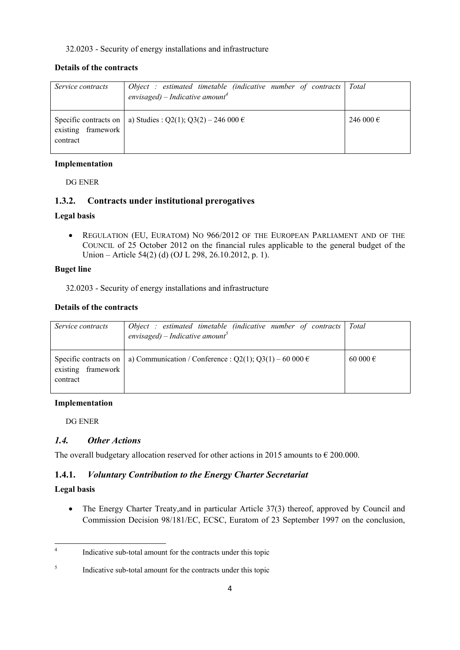#### 32.0203 - Security of energy installations and infrastructure

#### **Details of the contracts**

| Service contracts              | Object : estimated timetable (indicative number of contracts $\vert$<br>envisaged) – Indicative amount <sup>4</sup> | Total     |
|--------------------------------|---------------------------------------------------------------------------------------------------------------------|-----------|
| existing framework<br>contract | Specific contracts on   a) Studies : Q2(1); Q3(2) – 246 000 $\epsilon$                                              | 246 000 € |

#### **Implementation**

DG ENER

## **1.3.2. Contracts under institutional prerogatives**

#### **Legal basis**

• REGULATION (EU, EURATOM) NO 966/2012 OF THE EUROPEAN PARLIAMENT AND OF THE COUNCIL of 25 October 2012 on the financial rules applicable to the general budget of the Union – Article 54(2) (d) (OJ L 298, 26.10.2012, p. 1).

#### **Buget line**

32.0203 - Security of energy installations and infrastructure

#### **Details of the contracts**

| Service contracts              | $Object: estimated$ imetable (indicative number of contracts)<br>envisaged) – Indicative amount <sup>5</sup> | Total    |
|--------------------------------|--------------------------------------------------------------------------------------------------------------|----------|
| existing framework<br>contract | Specific contracts on   a) Communication / Conference : $Q2(1)$ ; $Q3(1) - 60000 \in$                        | 60 000 € |

#### **Implementation**

DG ENER

## *1.4. Other Actions*

The overall budgetary allocation reserved for other actions in 2015 amounts to  $\epsilon$  200.000.

## **1.4.1.** *Voluntary Contribution to the Energy Charter Secretariat*

#### **Legal basis**

• The Energy Charter Treaty, and in particular Article 37(3) thereof, approved by Council and Commission Decision 98/181/EC, ECSC, Euratom of 23 September 1997 on the conclusion,

 $\frac{1}{4}$ Indicative sub-total amount for the contracts under this topic

<sup>5</sup> Indicative sub-total amount for the contracts under this topic